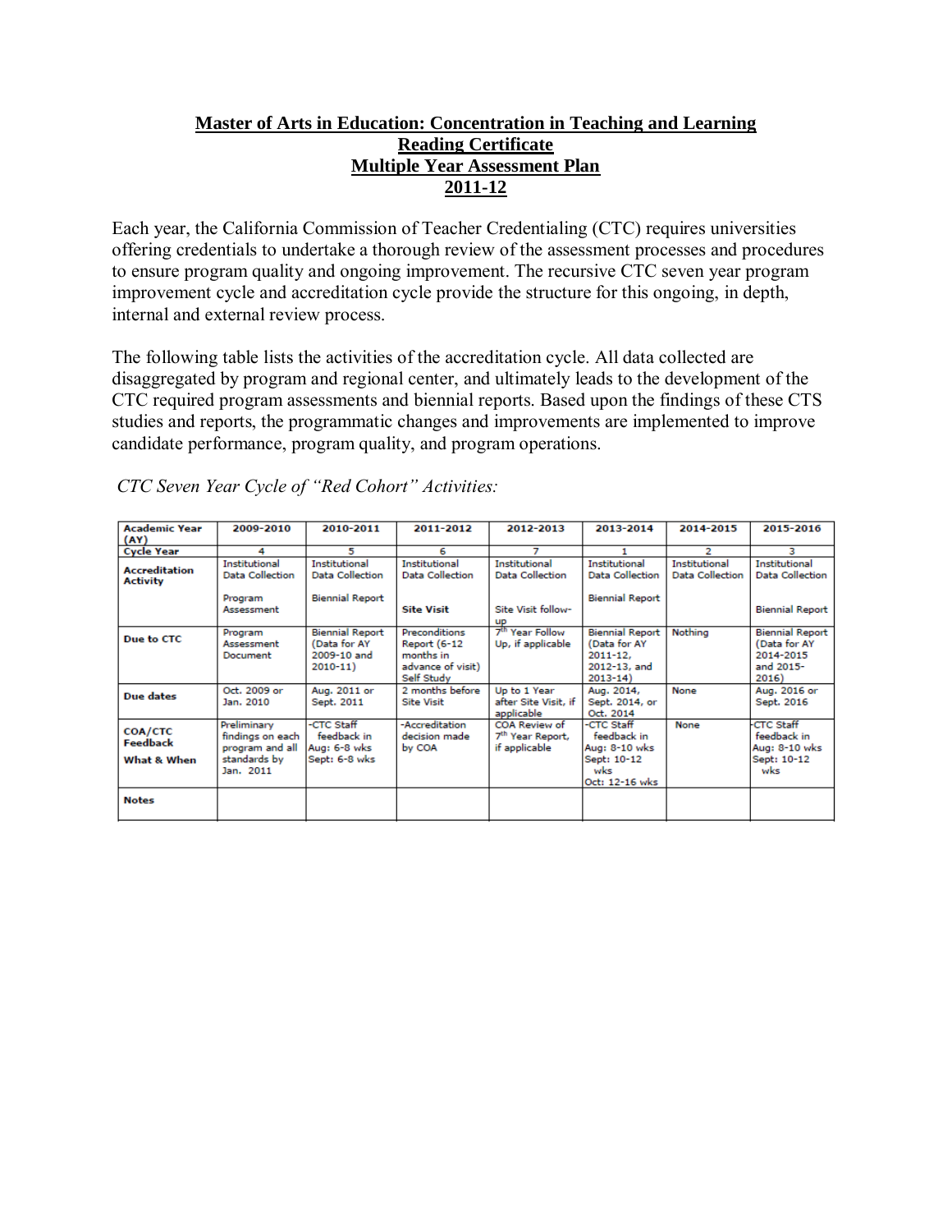# **Master of Arts in Education: Concentration in Teaching and Learning Reading Certificate Multiple Year Assessment Plan 2011-12**

Each year, the California Commission of Teacher Credentialing (CTC) requires universities offering credentials to undertake a thorough review of the assessment processes and procedures to ensure program quality and ongoing improvement. The recursive CTC seven year program improvement cycle and accreditation cycle provide the structure for this ongoing, in depth, internal and external review process.

The following table lists the activities of the accreditation cycle. All data collected are disaggregated by program and regional center, and ultimately leads to the development of the CTC required program assessments and biennial reports. Based upon the findings of these CTS studies and reports, the programmatic changes and improvements are implemented to improve candidate performance, program quality, and program operations.

| <b>Academic Year</b><br>(AY)              | 2009-2010                                                                       | 2010-2011                                                                | 2011-2012                                                                     | 2012-2013                                                                  | 2013-2014                                                                             | 2014-2015                               | 2015-2016                                                                 |
|-------------------------------------------|---------------------------------------------------------------------------------|--------------------------------------------------------------------------|-------------------------------------------------------------------------------|----------------------------------------------------------------------------|---------------------------------------------------------------------------------------|-----------------------------------------|---------------------------------------------------------------------------|
| <b>Cycle Year</b>                         | 4                                                                               | 5                                                                        | 6                                                                             |                                                                            |                                                                                       | 2                                       | з                                                                         |
| <b>Accreditation</b><br><b>Activity</b>   | Institutional<br>Data Collection<br>Program<br>Assessment                       | <b>Institutional</b><br><b>Data Collection</b><br><b>Biennial Report</b> | <b>Institutional</b><br>Data Collection<br><b>Site Visit</b>                  | Institutional<br><b>Data Collection</b><br>Site Visit follow-<br><b>UP</b> | <b>Institutional</b><br>Data Collection<br><b>Biennial Report</b>                     | <b>Institutional</b><br>Data Collection | Institutional<br><b>Data Collection</b><br><b>Biennial Report</b>         |
| Due to CTC                                | Program<br>Assessment<br>Document                                               | <b>Biennial Report</b><br>(Data for AY<br>2009-10 and<br>$2010 - 11$     | Preconditions<br>Report (6-12<br>months in<br>advance of visit)<br>Self Study | 7 <sup>th</sup> Year Follow<br>Up, if applicable                           | <b>Biennial Report</b><br>(Data for AY<br>$2011 - 12.$<br>2012-13, and<br>$2013 - 14$ | Nothing                                 | <b>Biennial Report</b><br>(Data for AY<br>2014-2015<br>and 2015-<br>2016) |
| Due dates                                 | Oct. 2009 or<br>Jan. 2010                                                       | Aug. 2011 or<br>Sept. 2011                                               | 2 months before<br><b>Site Visit</b>                                          | Up to 1 Year<br>after Site Visit, if<br>applicable                         | Aug. 2014,<br>Sept. 2014, or<br>Oct. 2014                                             | None                                    | Aug. 2016 or<br>Sept. 2016                                                |
| <b>COA/CTC</b><br>Feedback<br>What & When | Preliminary<br>findings on each<br>program and all<br>standards by<br>Jan. 2011 | -CTC Staff<br>feedback in<br>Aug: 6-8 wks<br>Sept: 6-8 wks               | -Accreditation<br>decision made<br>by COA                                     | COA Review of<br>7 <sup>th</sup> Year Report,<br>if applicable             | -CTC Staff<br>feedback in<br>Aug: 8-10 wks<br>Sept: 10-12<br>wks<br>Oct: 12-16 wks    | None                                    | <b>CTC Staff</b><br>feedback in<br>Aug: 8-10 wks<br>Sept: 10-12<br>wks    |
| <b>Notes</b>                              |                                                                                 |                                                                          |                                                                               |                                                                            |                                                                                       |                                         |                                                                           |

*CTC Seven Year Cycle of "Red Cohort" Activities:*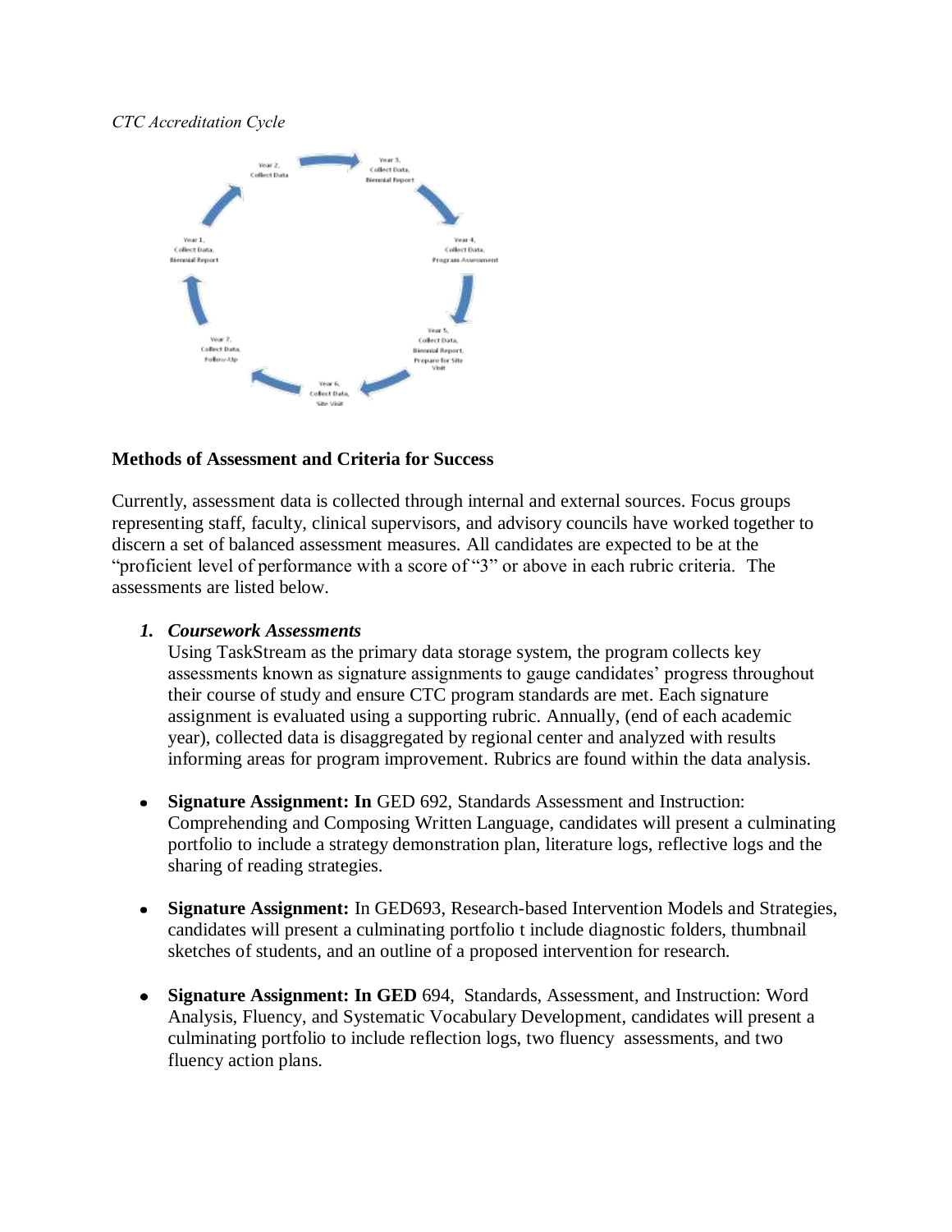## *CTC Accreditation Cycle*



## **Methods of Assessment and Criteria for Success**

Currently, assessment data is collected through internal and external sources. Focus groups representing staff, faculty, clinical supervisors, and advisory councils have worked together to discern a set of balanced assessment measures. All candidates are expected to be at the "proficient level of performance with a score of "3" or above in each rubric criteria. The assessments are listed below.

### *1. Coursework Assessments*

Using TaskStream as the primary data storage system, the program collects key assessments known as signature assignments to gauge candidates' progress throughout their course of study and ensure CTC program standards are met. Each signature assignment is evaluated using a supporting rubric. Annually, (end of each academic year), collected data is disaggregated by regional center and analyzed with results informing areas for program improvement. Rubrics are found within the data analysis.

- **Signature Assignment: In** GED 692, Standards Assessment and Instruction:  $\bullet$ Comprehending and Composing Written Language, candidates will present a culminating portfolio to include a strategy demonstration plan, literature logs, reflective logs and the sharing of reading strategies.
- **Signature Assignment:** In GED693, Research-based Intervention Models and Strategies,  $\bullet$ candidates will present a culminating portfolio t include diagnostic folders, thumbnail sketches of students, and an outline of a proposed intervention for research.
- **Signature Assignment: In GED** 694, Standards, Assessment, and Instruction: Word  $\bullet$ Analysis, Fluency, and Systematic Vocabulary Development, candidates will present a culminating portfolio to include reflection logs, two fluency assessments, and two fluency action plans.